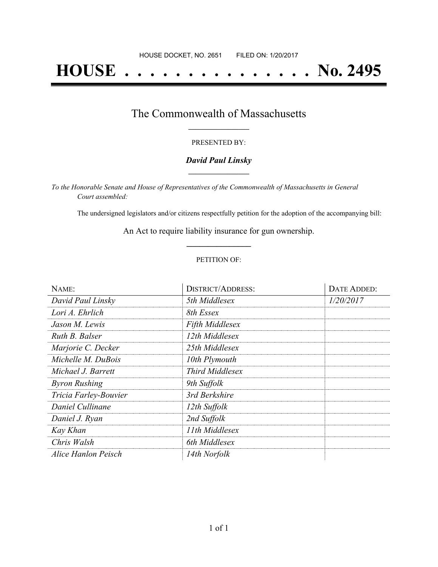# **HOUSE . . . . . . . . . . . . . . . No. 2495**

### The Commonwealth of Massachusetts **\_\_\_\_\_\_\_\_\_\_\_\_\_\_\_\_\_**

#### PRESENTED BY:

#### *David Paul Linsky* **\_\_\_\_\_\_\_\_\_\_\_\_\_\_\_\_\_**

*To the Honorable Senate and House of Representatives of the Commonwealth of Massachusetts in General Court assembled:*

The undersigned legislators and/or citizens respectfully petition for the adoption of the accompanying bill:

An Act to require liability insurance for gun ownership. **\_\_\_\_\_\_\_\_\_\_\_\_\_\_\_**

#### PETITION OF:

| NAME:                 | <b>DISTRICT/ADDRESS:</b> | DATE ADDED: |
|-----------------------|--------------------------|-------------|
| David Paul Linsky     | 5th Middlesex            | 1/20/2017   |
| Lori A. Ehrlich       | 8th Essex                |             |
| Jason M. Lewis        | <b>Fifth Middlesex</b>   |             |
| Ruth B. Balser        | 12th Middlesex           |             |
| Marjorie C. Decker    | 25th Middlesex           |             |
| Michelle M. DuBois    | 10th Plymouth            |             |
| Michael J. Barrett    | <b>Third Middlesex</b>   |             |
| <b>Byron Rushing</b>  | 9th Suffolk              |             |
| Tricia Farley-Bouvier | 3rd Berkshire            |             |
| Daniel Cullinane      | 12th Suffolk             |             |
| Daniel J. Ryan        | 2nd Suffolk              |             |
| Kay Khan              | 11th Middlesex           |             |
| Chris Walsh           | 6th Middlesex            |             |
| Alice Hanlon Peisch   | 14th Norfolk             |             |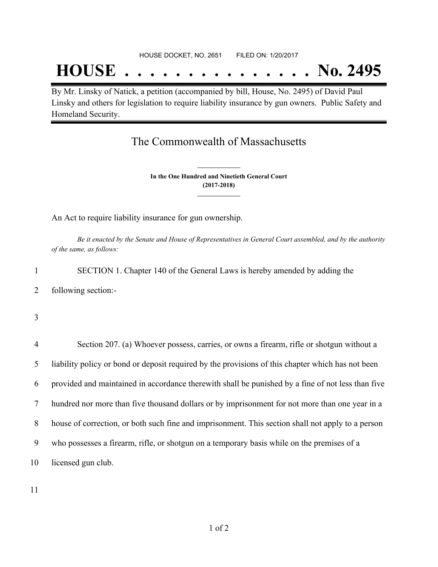# **HOUSE . . . . . . . . . . . . . . . No. 2495**

By Mr. Linsky of Natick, a petition (accompanied by bill, House, No. 2495) of David Paul Linsky and others for legislation to require liability insurance by gun owners. Public Safety and Homeland Security.

## The Commonwealth of Massachusetts

**In the One Hundred and Ninetieth General Court (2017-2018) \_\_\_\_\_\_\_\_\_\_\_\_\_\_\_**

**\_\_\_\_\_\_\_\_\_\_\_\_\_\_\_**

An Act to require liability insurance for gun ownership.

Be it enacted by the Senate and House of Representatives in General Court assembled, and by the authority *of the same, as follows:*

1 SECTION 1. Chapter 140 of the General Laws is hereby amended by adding the 2 following section:-

3

 Section 207. (a) Whoever possess, carries, or owns a firearm, rifle or shotgun without a liability policy or bond or deposit required by the provisions of this chapter which has not been provided and maintained in accordance therewith shall be punished by a fine of not less than five hundred nor more than five thousand dollars or by imprisonment for not more than one year in a house of correction, or both such fine and imprisonment. This section shall not apply to a person who possesses a firearm, rifle, or shotgun on a temporary basis while on the premises of a licensed gun club.

11